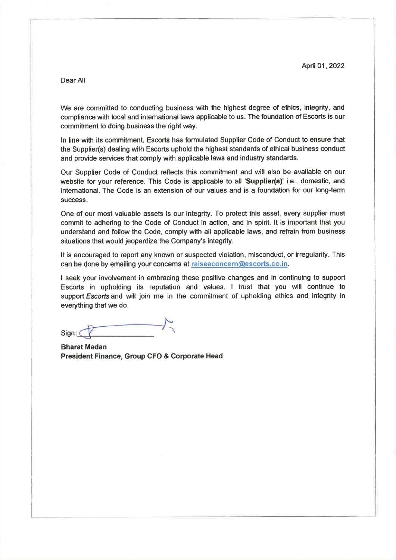Dear All

We are committed to conducting business with the highest degree of ethics, integrity, and compliance with local and international laws applicable to us. The foundation of Escorts is our commitment to doing business the right way.

In line with its commitment, Escorts has formulated Supplier Code of Conduct to ensure that the Supplier(s) dealing with Escorts uphold the highest standards of ethical business conduct and provide services that comply with applicable laws and industry standards.

Our Supplier Code of Conduct reflects this commitment and will also be available on our website for your reference. This Code is applicable to all 'Supplier(s)' i.e., domestic, and international. The Code is an extension of our values and is a foundation for our long-term success.

One of our most valuable assets is our integrity. To protect this asset, every supplier must commit to adhering to the Code of Conduct in action, and in spirit. It is important that you understand and follow the Code, comply with all applicable laws, and refrain from business situations that would jeopardize the Company's integrity.

It is encouraged to report any known or suspected violation, misconduct, or irregularity. This can be done by emailing your concems at raiseaconcern@escorts.co.in.

I seek your involvement in embracing these positive changes and in continuing to support Escorts in upholding its reputation and values. I trust that you will continue to support Escorts and will join me in the commitment of upholding ethics and integrity in everything that we do.

Sign:

**Bharat Madan** President Finance, Group CFO & Corporate Head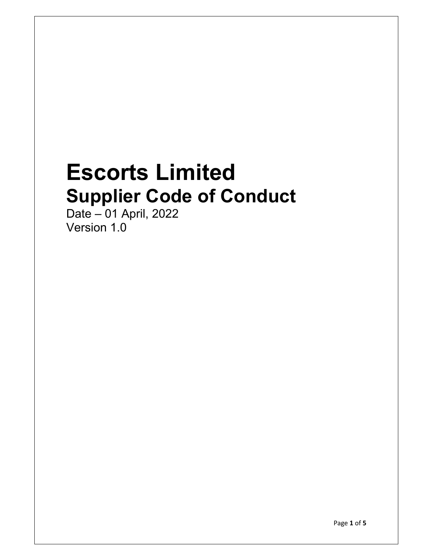# **Escorts Limited Supplier Code of Conduct**

Date – 01 April, 2022 Version 1.0

Page **1** of **5**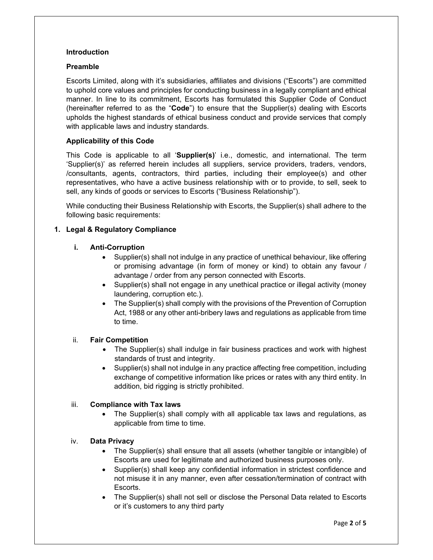#### **Introduction**

## **Preamble**

Escorts Limited, along with it's subsidiaries, affiliates and divisions ("Escorts") are committed to uphold core values and principles for conducting business in a legally compliant and ethical manner. In line to its commitment, Escorts has formulated this Supplier Code of Conduct (hereinafter referred to as the "**Code**") to ensure that the Supplier(s) dealing with Escorts upholds the highest standards of ethical business conduct and provide services that comply with applicable laws and industry standards.

# **Applicability of this Code**

This Code is applicable to all '**Supplier(s)**' i.e., domestic, and international. The term 'Supplier(s)' as referred herein includes all suppliers, service providers, traders, vendors, /consultants, agents, contractors, third parties, including their employee(s) and other representatives, who have a active business relationship with or to provide, to sell, seek to sell, any kinds of goods or services to Escorts ("Business Relationship").

While conducting their Business Relationship with Escorts, the Supplier(s) shall adhere to the following basic requirements:

# **1. Legal & Regulatory Compliance**

## **i. Anti-Corruption**

- Supplier(s) shall not indulge in any practice of unethical behaviour, like offering or promising advantage (in form of money or kind) to obtain any favour / advantage / order from any person connected with Escorts.
- Supplier(s) shall not engage in any unethical practice or illegal activity (money laundering, corruption etc.).
- The Supplier(s) shall comply with the provisions of the Prevention of Corruption Act, 1988 or any other anti-bribery laws and regulations as applicable from time to time.

#### ii. **Fair Competition**

- The Supplier(s) shall indulge in fair business practices and work with highest standards of trust and integrity.
- Supplier(s) shall not indulge in any practice affecting free competition, including exchange of competitive information like prices or rates with any third entity. In addition, bid rigging is strictly prohibited.

# iii. **Compliance with Tax laws**

 The Supplier(s) shall comply with all applicable tax laws and regulations, as applicable from time to time.

# iv. **Data Privacy**

- The Supplier(s) shall ensure that all assets (whether tangible or intangible) of Escorts are used for legitimate and authorized business purposes only.
- Supplier(s) shall keep any confidential information in strictest confidence and not misuse it in any manner, even after cessation/termination of contract with Escorts.
- The Supplier(s) shall not sell or disclose the Personal Data related to Escorts or it's customers to any third party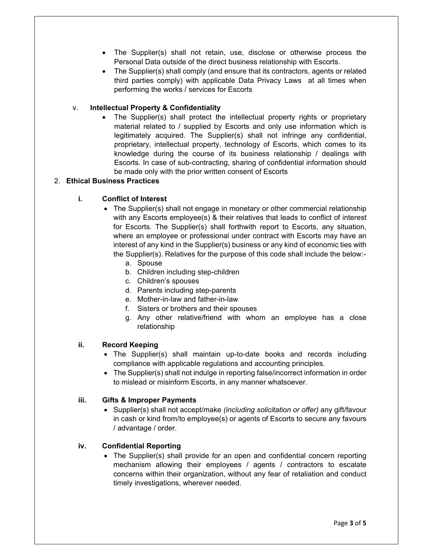- The Supplier(s) shall not retain, use, disclose or otherwise process the Personal Data outside of the direct business relationship with Escorts.
- The Supplier(s) shall comply (and ensure that its contractors, agents or related third parties comply) with applicable Data Privacy Laws at all times when performing the works / services for Escorts

# v. **Intellectual Property & Confidentiality**

 The Supplier(s) shall protect the intellectual property rights or proprietary material related to / supplied by Escorts and only use information which is legitimately acquired. The Supplier(s) shall not infringe any confidential, proprietary, intellectual property, technology of Escorts, which comes to its knowledge during the course of its business relationship / dealings with Escorts. In case of sub-contracting, sharing of confidential information should be made only with the prior written consent of Escorts

## 2. **Ethical Business Practices**

## **i. Conflict of Interest**

- The Supplier(s) shall not engage in monetary or other commercial relationship with any Escorts employee(s) & their relatives that leads to conflict of interest for Escorts. The Supplier(s) shall forthwith report to Escorts, any situation, where an employee or professional under contract with Escorts may have an interest of any kind in the Supplier(s) business or any kind of economic ties with the Supplier(s). Relatives for the purpose of this code shall include the below:
	- a. Spouse
	- b. Children including step-children
	- c. Children's spouses
	- d. Parents including step-parents
	- e. Mother-in-law and father-in-law
	- f. Sisters or brothers and their spouses
	- g. Any other relative/friend with whom an employee has a close relationship

#### **ii. Record Keeping**

- The Supplier(s) shall maintain up-to-date books and records including compliance with applicable regulations and accounting principles.
- The Supplier(s) shall not indulge in reporting false/incorrect information in order to mislead or misinform Escorts, in any manner whatsoever.

## **iii. Gifts & Improper Payments**

 Supplier(s) shall not accept/make *(including solicitation or offer)* any gift/favour in cash or kind from/to employee(s) or agents of Escorts to secure any favours / advantage / order.

#### **iv. Confidential Reporting**

• The Supplier(s) shall provide for an open and confidential concern reporting mechanism allowing their employees / agents / contractors to escalate concerns within their organization, without any fear of retaliation and conduct timely investigations, wherever needed.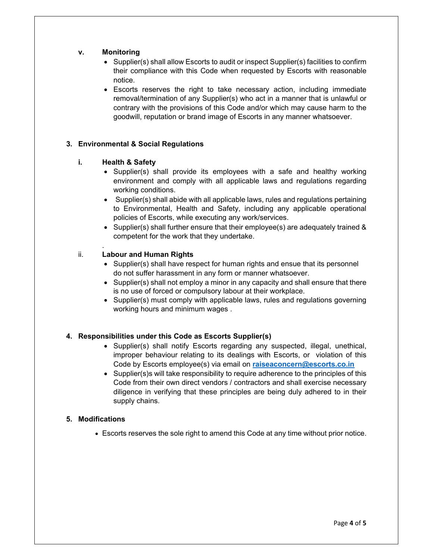## **v. Monitoring**

- Supplier(s) shall allow Escorts to audit or inspect Supplier(s) facilities to confirm their compliance with this Code when requested by Escorts with reasonable notice.
- Escorts reserves the right to take necessary action, including immediate removal/termination of any Supplier(s) who act in a manner that is unlawful or contrary with the provisions of this Code and/or which may cause harm to the goodwill, reputation or brand image of Escorts in any manner whatsoever.

# **3. Environmental & Social Regulations**

## **i. Health & Safety**

.

- $\bullet$  Supplier(s) shall provide its employees with a safe and healthy working environment and comply with all applicable laws and regulations regarding working conditions.
- Supplier(s) shall abide with all applicable laws, rules and regulations pertaining to Environmental, Health and Safety, including any applicable operational policies of Escorts, while executing any work/services.
- Supplier(s) shall further ensure that their employee(s) are adequately trained & competent for the work that they undertake.

# ii. **Labour and Human Rights**

- Supplier(s) shall have respect for human rights and ensue that its personnel do not suffer harassment in any form or manner whatsoever.
- $\bullet$  Supplier(s) shall not employ a minor in any capacity and shall ensure that there is no use of forced or compulsory labour at their workplace.
- Supplier(s) must comply with applicable laws, rules and regulations governing working hours and minimum wages .

# **4. Responsibilities under this Code as Escorts Supplier(s)**

- Supplier(s) shall notify Escorts regarding any suspected, illegal, unethical, improper behaviour relating to its dealings with Escorts, or violation of this Code by Escorts employee(s) via email on **raiseaconcern@escorts.co.in**
- Supplier(s)s will take responsibility to require adherence to the principles of this Code from their own direct vendors / contractors and shall exercise necessary diligence in verifying that these principles are being duly adhered to in their supply chains.

#### **5. Modifications**

Escorts reserves the sole right to amend this Code at any time without prior notice.